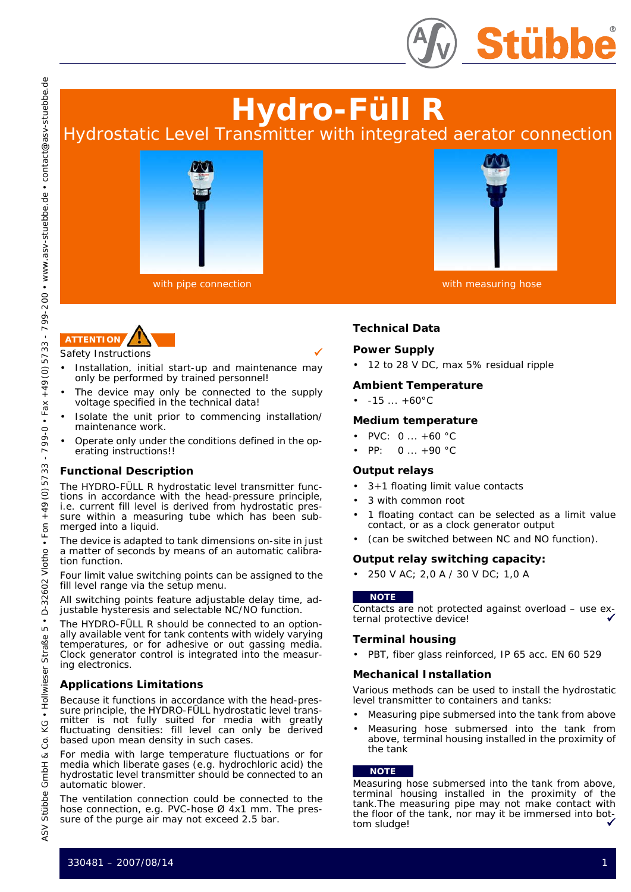

# **Hydro-Füll R**

Hydrostatic Level Transmitter with integrated aerator connection





- Safety Instructions
- Installation, initial start-up and maintenance may only be performed by trained personnel!
- The device may only be connected to the supply voltage specified in the technical data!
- Isolate the unit prior to commencing installation/ maintenance work.
- Operate only under the conditions defined in the operating instructions!!

## **Functional Description**

The HYDRO-FÜLL R hydrostatic level transmitter functions in accordance with the head-pressure principle, i.e. current fill level is derived from hydrostatic pressure within a measuring tube which has been submerged into a liquid.

The device is adapted to tank dimensions on-site in just a matter of seconds by means of an automatic calibration function.

Four limit value switching points can be assigned to the fill level range via the setup menu.

All switching points feature adjustable delay time, adjustable hysteresis and selectable NC/NO function.

The HYDRO-FÜLL R should be connected to an optionally available vent for tank contents with widely varying temperatures, or for adhesive or out gassing media. Clock generator control is integrated into the measuring electronics.

## **Applications Limitations**

Because it functions in accordance with the head-pressure principle, the HYDRO-FÜLL hydrostatic level transmitter is not fully suited for media with greatly fluctuating densities: fill level can only be derived based upon mean density in such cases.

For media with large temperature fluctuations or for media which liberate gases (e.g. hydrochloric acid) the hydrostatic level transmitter should be connected to an automatic blower.

The ventilation connection could be connected to the hose connection, e.g. PVC-hose Ø 4x1 mm. The pressure of the purge air may not exceed 2.5 bar.



with pipe connection with measuring hose with measuring hose

# **Technical Data**

## **Power Supply**

• 12 to 28 V DC, max 5% residual ripple

## **Ambient Temperature**

•  $-15 ... +60$ °C

#### **Medium temperature**

- PVC: 0 ... +60 °C
- PP:  $0...+90 °C$

## **Output relays**

- 3+1 floating limit value contacts
- 3 with common root
- 1 floating contact can be selected as a limit value contact, or as a clock generator output
- (can be switched between NC and NO function).

#### **Output relay switching capacity:**

• 250 V AC; 2,0 A / 30 V DC; 1,0 A

#### **NOTE**

Contacts are not protected against overload – use external protective device!

#### **Terminal housing**

• PBT, fiber glass reinforced, IP 65 acc. EN 60 529

#### **Mechanical Installation**

Various methods can be used to install the hydrostatic level transmitter to containers and tanks:

- Measuring pipe submersed into the tank from above
- Measuring hose submersed into the tank from above, terminal housing installed in the proximity of the tank

#### **NOTE**

Measuring hose submersed into the tank from above, terminal housing installed in the proximity of the tank.The measuring pipe may not make contact with the floor of the tank, nor may it be immersed into bottom sludge!

. contact@asv-stuebbe.de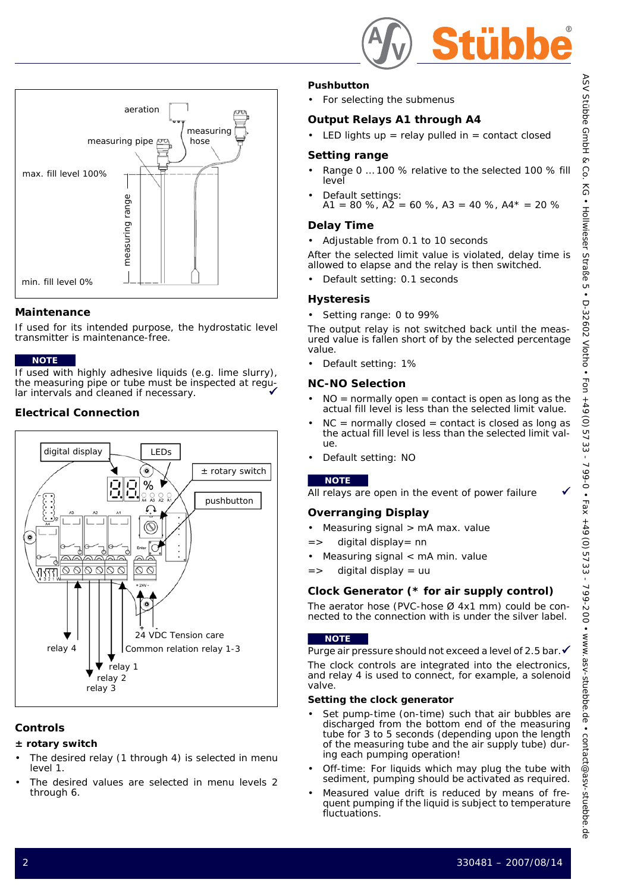

## **Pushbutton**

For selecting the submenus

## **Output Relays A1 through A4**

LED lights up = relay pulled in = contact closed

## **Setting range**

- Range 0 … 100 % relative to the selected 100 % fill level
- Default settings: A1 = 80 %,  $\angle$ A2 = 60 %, A3 = 40 %, A4\* = 20 %

## **Delay Time**

• Adjustable from 0.1 to 10 seconds

After the selected limit value is violated, delay time is allowed to elapse and the relay is then switched.

• Default setting: 0.1 seconds

## **Hysteresis**

• Setting range: 0 to 99%

The output relay is not switched back until the measured value is fallen short of by the selected percentage value.

• Default setting: 1%

## **NC-NO Selection**

- $NO =$  normally open  $=$  contact is open as long as the actual fill level is less than the selected limit value.
- $NC = normally closed = contact$  is closed as long as the actual fill level is less than the selected limit value.
- Default setting: NO

## **NOTE**

All relays are open in the event of power failure

# **Overranging Display**

- Measuring signal > mA max. value
- => digital display= nn
- Measuring signal < mA min. value
- => digital display = uu

# **Clock Generator (\* for air supply control)**

The aerator hose (PVC-hose Ø 4x1 mm) could be connected to the connection with is under the silver label.

## **NOTE**

Purge air pressure should not exceed a level of 2.5 bar. ✔ The clock controls are integrated into the electronics, and relay 4 is used to connect, for example, a solenoid valve.

#### **Setting the clock generator**

- Set pump-time (on-time) such that air bubbles are discharged from the bottom end of the measuring tube for 3 to 5 seconds (depending upon the length of the measuring tube and the air supply tube) during each pumping operation!
- Off-time: For liquids which may plug the tube with sediment, pumping should be activated as required.
- Measured value drift is reduced by means of frequent pumping if the liquid is subject to temperature fluctuations.



## **Maintenance**

If used for its intended purpose, the hydrostatic level transmitter is maintenance-free.

#### **NOTE**

If used with highly adhesive liquids (e.g. lime slurry), the measuring pipe or tube must be inspected at regular intervals and cleaned if necessary.

# **Electrical Connection**



# **Controls**

## **± rotary switch**

- The desired relay (1 through 4) is selected in menu level 1.
- The desired values are selected in menu levels 2 through 6.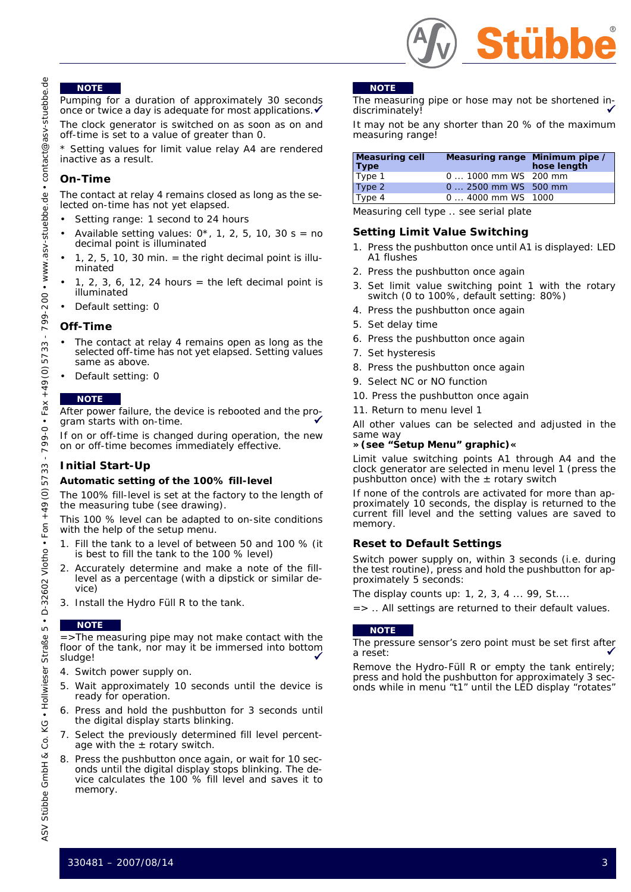

#### **NOTE**

Pumping for a duration of approximately 30 seconds once or twice a day is adequate for most applications.

The clock generator is switched on as soon as on and off-time is set to a value of greater than 0.

Setting values for limit value relay A4 are rendered inactive as a result.

#### **On-Time**

The contact at relay 4 remains closed as long as the selected on-time has not yet elapsed.

- Setting range: 1 second to 24 hours
- Available setting values:  $0^*$ , 1, 2, 5, 10, 30 s = no decimal point is illuminated
- $\cdot$  1, 2, 5, 10, 30 min. = the right decimal point is illuminated
- 1, 2, 3, 6, 12, 24 hours = the left decimal point is illuminated
- Default setting: 0

#### **Off-Time**

- The contact at relay 4 remains open as long as the selected off-time has not yet elapsed. Setting values same as above.
- Default setting: 0

#### **NOTE**

After power failure, the device is rebooted and the program starts with on-time.

If on or off-time is changed during operation, the new on or off-time becomes immediately effective.

#### **Initial Start-Up**

#### **Automatic setting of the 100% fill-level**

The 100% fill-level is set at the factory to the length of the measuring tube (see drawing).

This 100 % level can be adapted to on-site conditions with the help of the setup menu.

- 1. Fill the tank to a level of between 50 and 100 % (it is best to fill the tank to the 100 % level)
- 2. Accurately determine and make a note of the filllevel as a percentage (with a dipstick or similar device)
- 3. Install the Hydro Füll R to the tank.

#### **NOTE**

=>The measuring pipe may not make contact with the floor of the tank, nor may it be immersed into bottom sludge! 9

- 4. Switch power supply on.
- 5. Wait approximately 10 seconds until the device is ready for operation.
- 6. Press and hold the pushbutton for 3 seconds until the digital display starts blinking.
- 7. Select the previously determined fill level percentage with the  $\pm$  rotary switch.
- 8. Press the pushbutton once again, or wait for 10 seconds until the digital display stops blinking. The device calculates the 100 % fill level and saves it to memory.

#### **NOTE**

The measuring pipe or hose may not be shortened indiscriminately!

It may not be any shorter than 20 % of the maximum measuring range!

| <b>Measuring cell</b><br><b>Type</b> | Measuring range Minimum pipe / | hose length |
|--------------------------------------|--------------------------------|-------------|
| Type 1                               | 0  1000 mm WS 200 mm           |             |
| Type 2                               | 0  2500 mm WS 500 mm           |             |
| Type 4                               | 0  4000 mm WS 1000             |             |

Measuring cell type .. see serial plate

#### **Setting Limit Value Switching**

- 1. Press the pushbutton once until A1 is displayed: LED A1 flushes
- 2. Press the pushbutton once again
- 3. Set limit value switching point 1 with the rotary switch (0 to 100%, default setting: 80%)
- 4. Press the pushbutton once again
- 5. Set delay time
- 6. Press the pushbutton once again
- 7. Set hysteresis
- 8. Press the pushbutton once again
- 9. Select NC or NO function
- 10. Press the pushbutton once again
- 11. Return to menu level 1

All other values can be selected and adjusted in the same way

#### **»(see "Setup Menu" graphic)«**

Limit value switching points A1 through A4 and the clock generator are selected in menu level 1 (press the pushbutton once) with the  $\pm$  rotary switch

If none of the controls are activated for more than approximately 10 seconds, the display is returned to the current fill level and the setting values are saved to memory.

#### **Reset to Default Settings**

Switch power supply on, within 3 seconds (i.e. during the test routine), press and hold the pushbutton for approximately 5 seconds:

The display counts up: 1, 2, 3, 4 ... 99, St....

=> .. All settings are returned to their default values.

#### **NOTE**

The pressure sensor's zero point must be set first after a reset:

Remove the Hydro-Füll R or empty the tank entirely; press and hold the pushbutton for approximately 3 seconds while in menu "t1" until the LED display "rotates"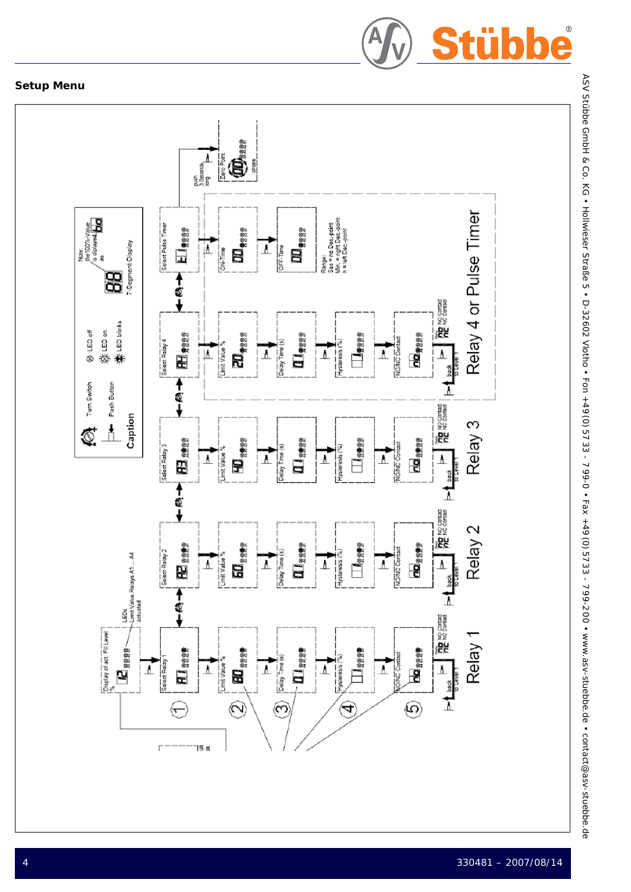

# **Setup Menu**



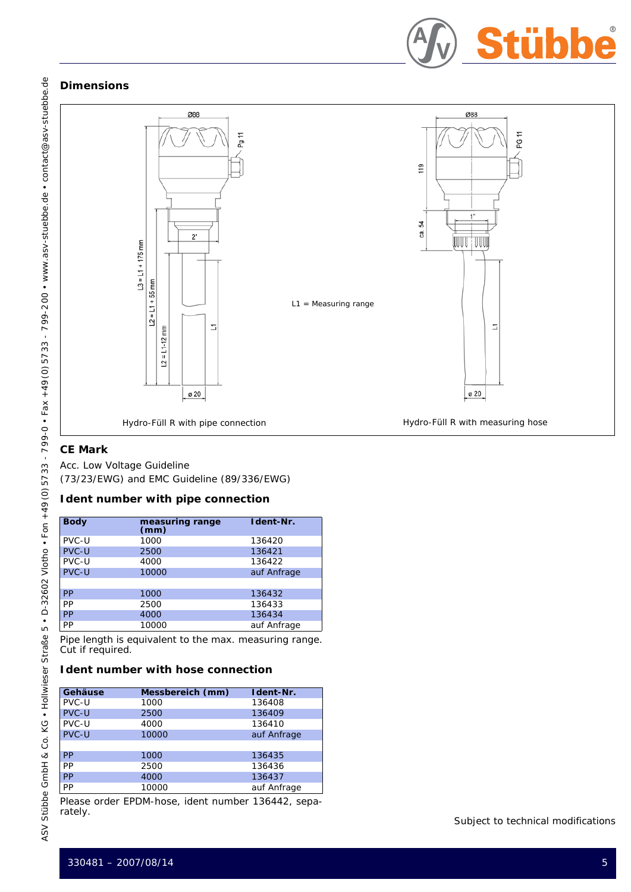

# **Dimensions**



# **CE Mark**

Acc. Low Voltage Guideline (73/23/EWG) and EMC Guideline (89/336/EWG)

# **Ident number with pipe connection**

| <b>Body</b>  | measuring range<br>(mm) | Ident-Nr.   |
|--------------|-------------------------|-------------|
| PVC-U        | 1000                    | 136420      |
| <b>PVC-U</b> | 2500                    | 136421      |
| PVC-U        | 4000                    | 136422      |
| <b>PVC-U</b> | 10000                   | auf Anfrage |
|              |                         |             |
| <b>PP</b>    | 1000                    | 136432      |
| PP           | 2500                    | 136433      |
| <b>PP</b>    | 4000                    | 136434      |
| <b>PP</b>    | 10000                   | auf Anfrage |

Pipe length is equivalent to the max. measuring range. Cut if required.

## **Ident number with hose connection**

| Gehäuse      | Messbereich (mm) | Ident-Nr.   |
|--------------|------------------|-------------|
| PVC-U        | 1000             | 136408      |
| <b>PVC-U</b> | 2500             | 136409      |
| PVC-U        | 4000             | 136410      |
| PVC-U        | 10000            | auf Anfrage |
|              |                  |             |
| <b>PP</b>    | 1000             | 136435      |
| PP           | 2500             | 136436      |
| PP           | 4000             | 136437      |
| PP           | 10000            | auf Anfrage |

Please order EPDM-hose, ident number 136442, separately.

## Subject to technical modifications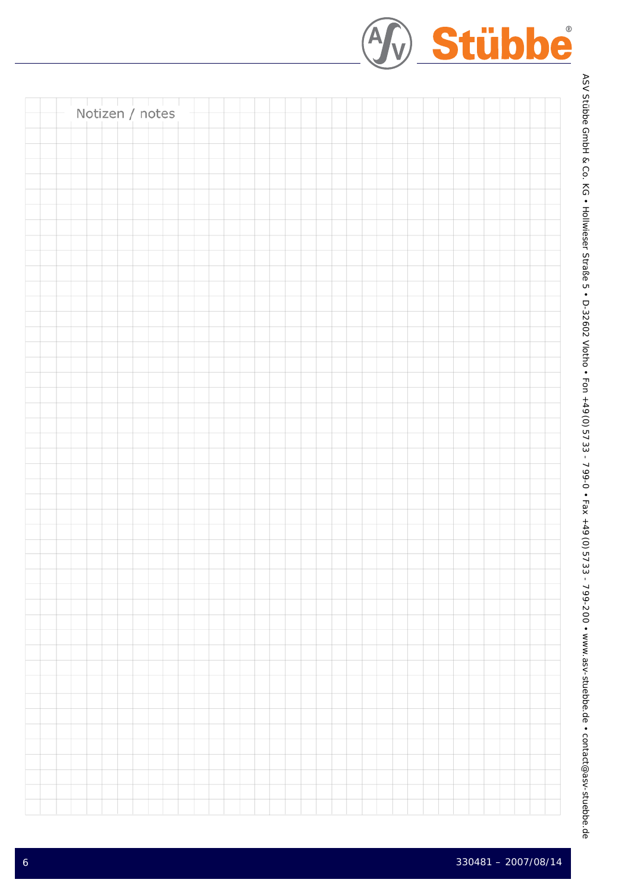| Notizen / notes |  |  |  |  |  |  |  |  |  |  |  |  |  |  |  |
|-----------------|--|--|--|--|--|--|--|--|--|--|--|--|--|--|--|
|                 |  |  |  |  |  |  |  |  |  |  |  |  |  |  |  |
|                 |  |  |  |  |  |  |  |  |  |  |  |  |  |  |  |
|                 |  |  |  |  |  |  |  |  |  |  |  |  |  |  |  |
|                 |  |  |  |  |  |  |  |  |  |  |  |  |  |  |  |
|                 |  |  |  |  |  |  |  |  |  |  |  |  |  |  |  |
|                 |  |  |  |  |  |  |  |  |  |  |  |  |  |  |  |
|                 |  |  |  |  |  |  |  |  |  |  |  |  |  |  |  |
|                 |  |  |  |  |  |  |  |  |  |  |  |  |  |  |  |
|                 |  |  |  |  |  |  |  |  |  |  |  |  |  |  |  |
|                 |  |  |  |  |  |  |  |  |  |  |  |  |  |  |  |
|                 |  |  |  |  |  |  |  |  |  |  |  |  |  |  |  |
|                 |  |  |  |  |  |  |  |  |  |  |  |  |  |  |  |
|                 |  |  |  |  |  |  |  |  |  |  |  |  |  |  |  |
|                 |  |  |  |  |  |  |  |  |  |  |  |  |  |  |  |
|                 |  |  |  |  |  |  |  |  |  |  |  |  |  |  |  |
|                 |  |  |  |  |  |  |  |  |  |  |  |  |  |  |  |
|                 |  |  |  |  |  |  |  |  |  |  |  |  |  |  |  |
|                 |  |  |  |  |  |  |  |  |  |  |  |  |  |  |  |
|                 |  |  |  |  |  |  |  |  |  |  |  |  |  |  |  |
|                 |  |  |  |  |  |  |  |  |  |  |  |  |  |  |  |
|                 |  |  |  |  |  |  |  |  |  |  |  |  |  |  |  |
|                 |  |  |  |  |  |  |  |  |  |  |  |  |  |  |  |
|                 |  |  |  |  |  |  |  |  |  |  |  |  |  |  |  |
|                 |  |  |  |  |  |  |  |  |  |  |  |  |  |  |  |
|                 |  |  |  |  |  |  |  |  |  |  |  |  |  |  |  |
|                 |  |  |  |  |  |  |  |  |  |  |  |  |  |  |  |
|                 |  |  |  |  |  |  |  |  |  |  |  |  |  |  |  |
|                 |  |  |  |  |  |  |  |  |  |  |  |  |  |  |  |
|                 |  |  |  |  |  |  |  |  |  |  |  |  |  |  |  |
|                 |  |  |  |  |  |  |  |  |  |  |  |  |  |  |  |
|                 |  |  |  |  |  |  |  |  |  |  |  |  |  |  |  |
|                 |  |  |  |  |  |  |  |  |  |  |  |  |  |  |  |
|                 |  |  |  |  |  |  |  |  |  |  |  |  |  |  |  |
|                 |  |  |  |  |  |  |  |  |  |  |  |  |  |  |  |
|                 |  |  |  |  |  |  |  |  |  |  |  |  |  |  |  |
|                 |  |  |  |  |  |  |  |  |  |  |  |  |  |  |  |
|                 |  |  |  |  |  |  |  |  |  |  |  |  |  |  |  |
|                 |  |  |  |  |  |  |  |  |  |  |  |  |  |  |  |
|                 |  |  |  |  |  |  |  |  |  |  |  |  |  |  |  |
|                 |  |  |  |  |  |  |  |  |  |  |  |  |  |  |  |
|                 |  |  |  |  |  |  |  |  |  |  |  |  |  |  |  |

Stübbe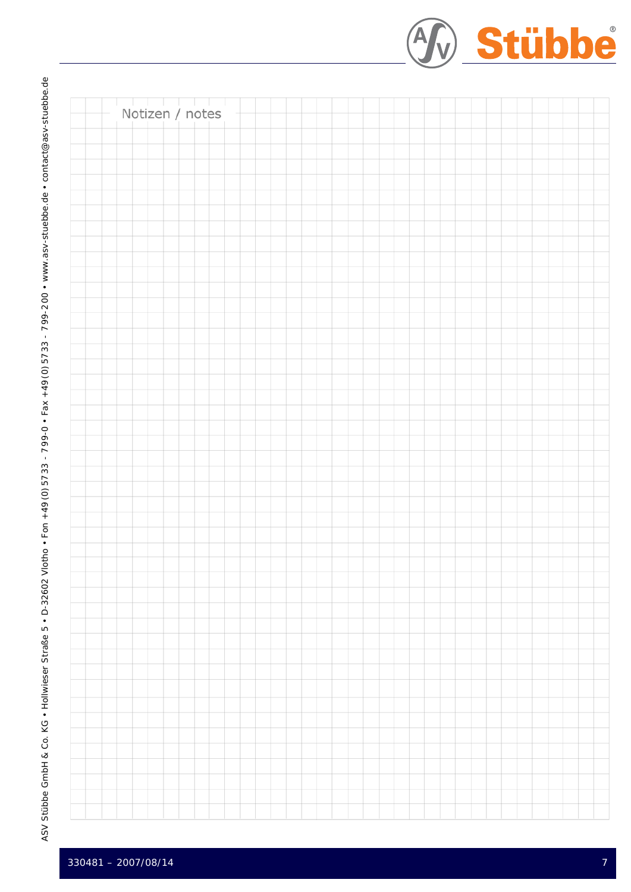Stübbe Notizen / notes